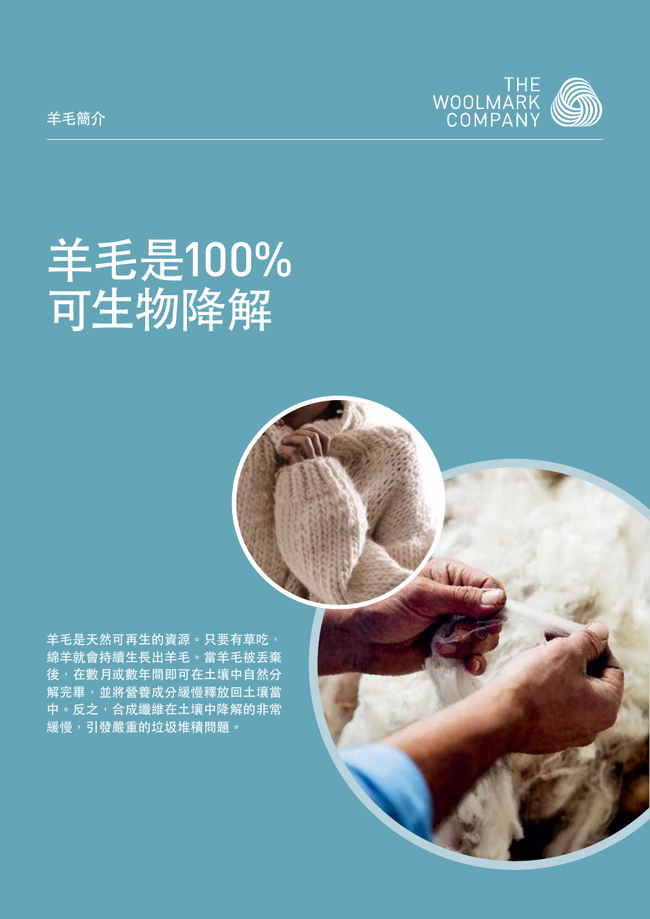

# 羊毛是100% 可生物降解

羊毛是天然可再生的資源。只要有草吃, 綿羊就會持續生長出羊毛。當羊毛被丟棄 後,在數月或數年間即可在土壤中自然分 解完畢,並將營養成分緩慢釋放回土壤當 中。反之,合成纖維在土壤中降解的非常 緩慢,引發嚴重的垃圾堆積問題。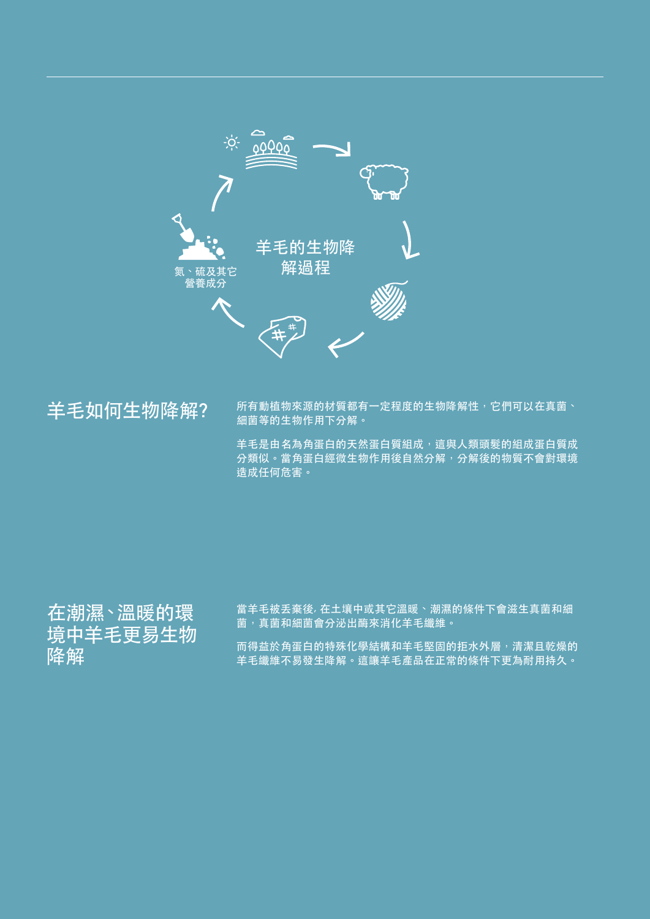

### 羊毛如何生物降解?

**所有動植物來源的材質都有一定程度的生物降解性,它們可以在真菌、** 細菌等的生物作用下分解。

羊毛是由名為角蛋白的天然蛋白質組成,這與人類頭髮的組成蛋白質成 分類似。當角蛋白經微生物作用後自然分解,分解後的物質不會對環境 造成任何危害。

## 在潮濕、溫暖的環 境中羊毛更易生物 降解

當羊毛被丟棄後, 在土壤中或其它溫暖、潮濕的條件下會滋生真菌和細 菌,真菌和細菌會分泌出酶來消化羊毛纖維。

而得益於角蛋白的特殊化學結構和羊毛堅固的拒水外層,清潔且乾燥的 羊毛纖維不易發生降解。這讓羊毛產品在正常的條件下更為耐用持久。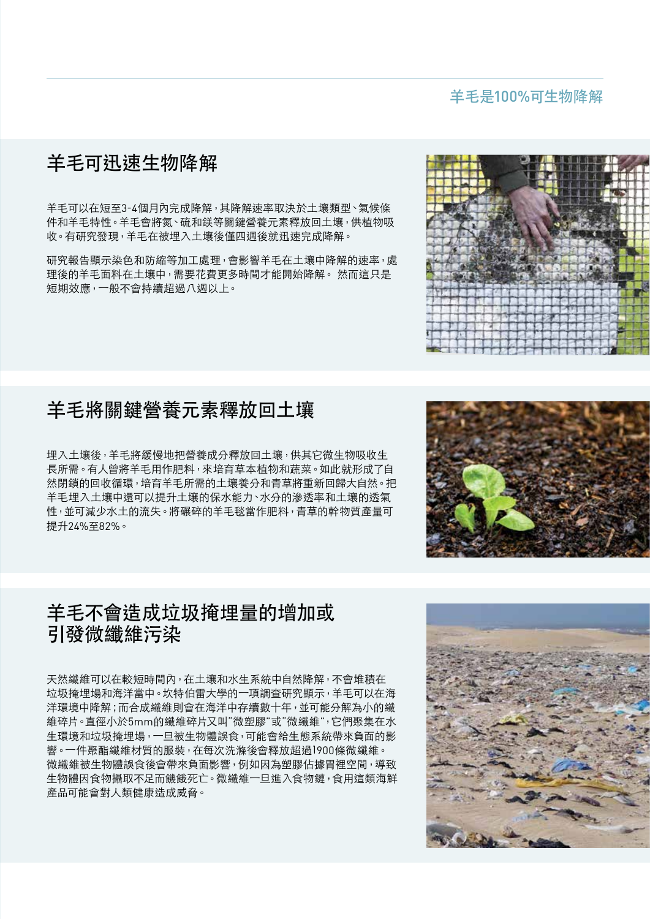#### 羊毛是100%可生物降解

#### 羊毛可迅速生物降解

羊毛可以在短至3-4個月內完成降解,其降解速率取決於土壤類型、氣候條 件和羊毛特性。羊毛會將氮、硫和鎂等關鍵營養元素釋放回土壤,供植物吸 收。有研究發現,羊毛在被埋入土壤後僅四週後就迅速完成降解。

研究報告顯示染色和防縮等加工處理,會影響羊毛在土壤中降解的速率,處 理後的羊毛面料在土壤中,需要花費更多時間才能開始降解。 然而這只是 短期效應,一般不會持續超過八週以上。

#### 羊毛將關鍵營養元素釋放回土壤

埋入土壤後,羊毛將緩慢地把營養成分釋放回土壤,供其它微生物吸收生 長所需。有人曾將羊毛用作肥料,來培育草本植物和蔬菜。如此就形成了自 然閉鎖的回收循環,培育羊毛所需的土壤養分和青草將重新回歸大自然。把 羊毛埋入土壤中還可以提升土壤的保水能力、水分的滲透率和土壤的透氣 性,並可減少水土的流失。將碾碎的羊毛毯當作肥料,青草的幹物質產量可 提升24%至82%。

#### 羊毛不會造成垃圾掩埋量的增加或 引發微纖維污染

天然纖維可以在較短時間內,在土壤和水生系統中自然降解,不會堆積在 垃圾掩埋場和海洋當中。坎特伯雷大學的一項調查研究顯示,羊毛可以在海 洋環境中降解;而合成纖維則會在海洋中存續數十年,並可能分解為小的纖 維碎片。直徑小於5mm的纖維碎片又叫"微塑膠"或"微纖維",它們聚集在水 生環境和垃圾掩埋場,一旦被生物體誤食,可能會給生態系統帶來負面的影 響。一件聚酯纖維材質的服裝,在每次洗滌後會釋放超過1900條微纖維。 微纖維被生物體誤食後會帶來負面影響,例如因為塑膠佔據胃裡空間,導致 生物體因食物攝取不足而饑餓死亡。微纖維一旦進入食物鏈,食用這類海鮮 產品可能會對人類健康造成威脅。